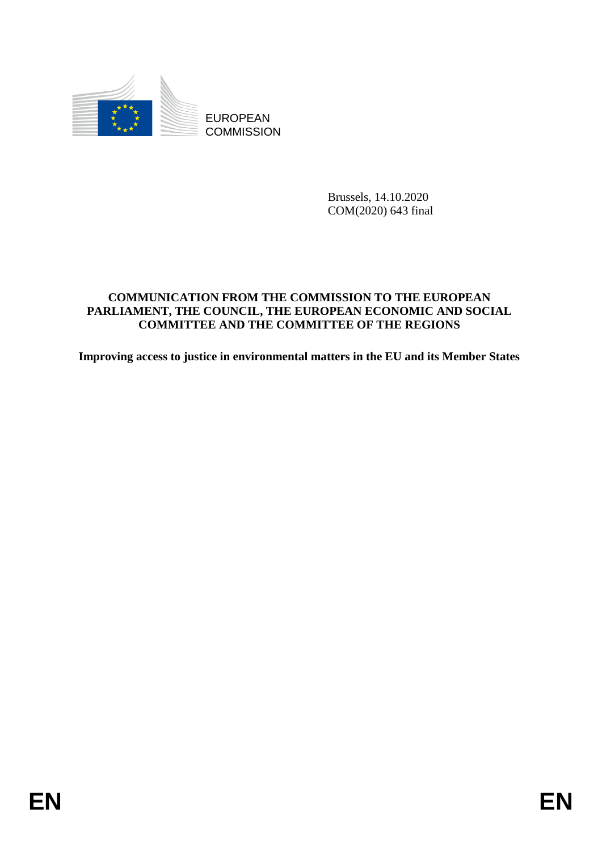

**COMMISSION** 

Brussels, 14.10.2020 COM(2020) 643 final

# EUROPEAN<br>
EUROPEAN<br>
ENGLISION<br>
COMMISSION<br>
ENGLISION<br>
COMMISSION<br>
PARTLAMENT, THE CONSTRUCT, THE EUROPEAN **ECONOMIC AND SOCTAL**<br>
PARTLAMENT, THE COUNCT, THE REGION NECONOMIC AND SOCTAL<br>
EUROPEAN CONDITIEE AND THE COMMITTEE **COMMUNICATION FROM THE COMMISSION TO THE EUROPEAN PARLIAMENT, THE COUNCIL, THE EUROPEAN ECONOMIC AND SOCIAL COMMITTEE AND THE COMMITTEE OF THE REGIONS**

**Improving access to justice in environmental matters in the EU and its Member States**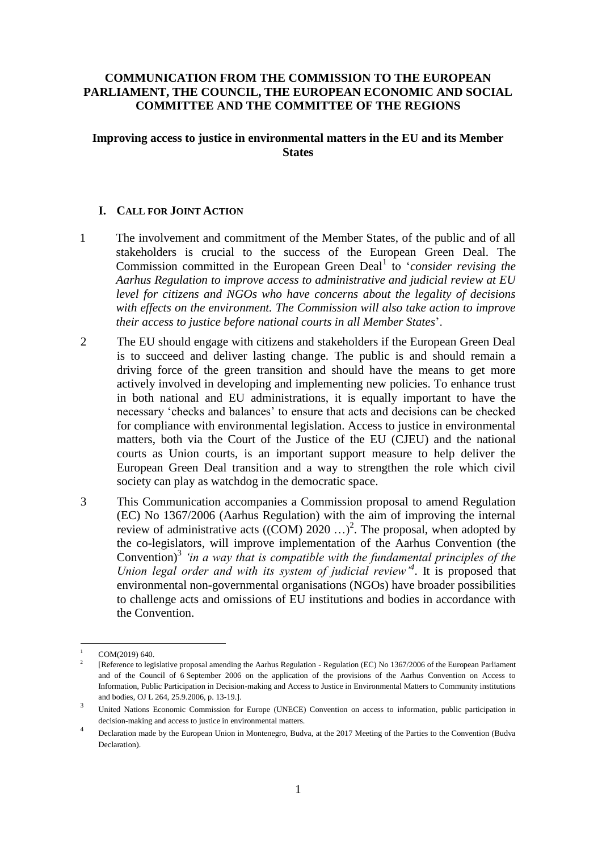# **COMMUNICATION FROM THE COMMISSION TO THE EUROPEAN PARLIAMENT, THE COUNCIL, THE EUROPEAN ECONOMIC AND SOCIAL COMMITTEE AND THE COMMITTEE OF THE REGIONS**

**Improving access to justice in environmental matters in the EU and its Member States**

# **I. CALL FOR JOINT ACTION**

- 1 The involvement and commitment of the Member States, of the public and of all stakeholders is crucial to the success of the European Green Deal. The Commission committed in the European Green Deal<sup>1</sup> to '*consider revising the Aarhus Regulation to improve access to administrative and judicial review at EU level for citizens and NGOs who have concerns about the legality of decisions with effects on the environment. The Commission will also take action to improve their access to justice before national courts in all Member States*'.
- 2 The EU should engage with citizens and stakeholders if the European Green Deal is to succeed and deliver lasting change. The public is and should remain a driving force of the green transition and should have the means to get more actively involved in developing and implementing new policies. To enhance trust in both national and EU administrations, it is equally important to have the necessary 'checks and balances' to ensure that acts and decisions can be checked for compliance with environmental legislation. Access to justice in environmental matters, both via the Court of the Justice of the EU (CJEU) and the national courts as Union courts, is an important support measure to help deliver the European Green Deal transition and a way to strengthen the role which civil society can play as watchdog in the democratic space.
- 3 This Communication accompanies a Commission proposal to amend Regulation (EC) No 1367/2006 (Aarhus Regulation) with the aim of improving the internal review of administrative acts  $((COM) 2020 ...)$ <sup>2</sup>. The proposal, when adopted by the co-legislators, will improve implementation of the Aarhus Convention (the Convention)<sup>3</sup> 'in a way that is compatible with the fundamental principles of the *Union legal order and with its system of judicial review'<sup>4</sup>* . It is proposed that environmental non-governmental organisations (NGOs) have broader possibilities to challenge acts and omissions of EU institutions and bodies in accordance with the Convention.

<sup>1</sup> COM(2019) 640.

<sup>2</sup> [Reference to legislative proposal amending the Aarhus Regulation - Regulation (EC) No 1367/2006 of the European Parliament and of the Council of 6 September 2006 on the application of the provisions of the Aarhus Convention on Access to Information, Public Participation in Decision-making and Access to Justice in Environmental Matters to Community institutions and bodies, OJ L 264, 25.9.2006, p. 13-19.].

<sup>3</sup> United Nations Economic Commission for Europe (UNECE) Convention on access to information, public participation in decision-making and access to justice in environmental matters.

<sup>4</sup> Declaration made by the European Union in Montenegro, Budva, at the 2017 Meeting of the Parties to the Convention (Budva Declaration).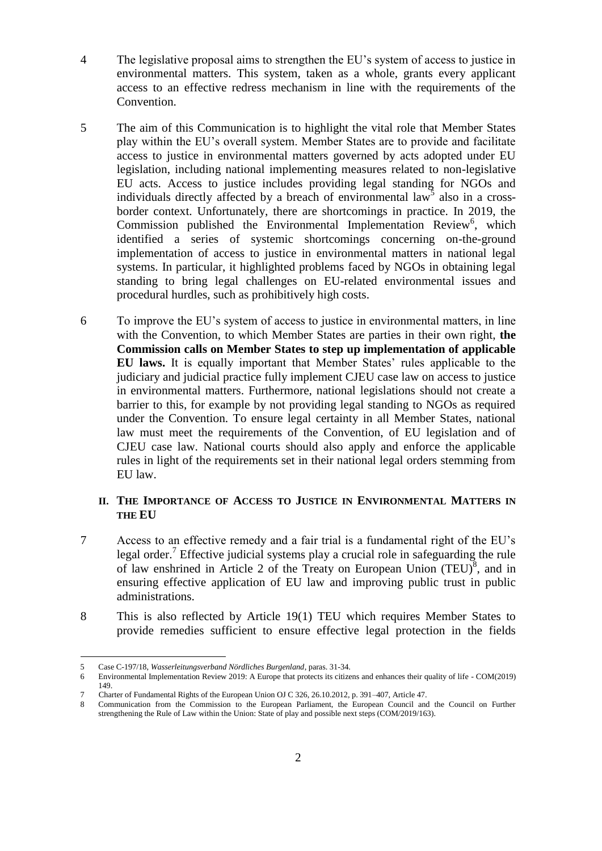- 4 The legislative proposal aims to strengthen the EU's system of access to justice in environmental matters. This system, taken as a whole, grants every applicant access to an effective redress mechanism in line with the requirements of the Convention.
- 5 The aim of this Communication is to highlight the vital role that Member States play within the EU's overall system. Member States are to provide and facilitate access to justice in environmental matters governed by acts adopted under EU legislation, including national implementing measures related to non-legislative EU acts. Access to justice includes providing legal standing for NGOs and individuals directly affected by a breach of environmental law<sup>5</sup> also in a crossborder context. Unfortunately, there are shortcomings in practice. In 2019, the Commission published the Environmental Implementation Review<sup>6</sup>, which identified a series of systemic shortcomings concerning on-the-ground implementation of access to justice in environmental matters in national legal systems. In particular, it highlighted problems faced by NGOs in obtaining legal standing to bring legal challenges on EU-related environmental issues and procedural hurdles, such as prohibitively high costs.
- 6 To improve the EU's system of access to justice in environmental matters, in line with the Convention, to which Member States are parties in their own right, **the Commission calls on Member States to step up implementation of applicable EU laws.** It is equally important that Member States' rules applicable to the judiciary and judicial practice fully implement CJEU case law on access to justice in environmental matters. Furthermore, national legislations should not create a barrier to this, for example by not providing legal standing to NGOs as required under the Convention. To ensure legal certainty in all Member States, national law must meet the requirements of the Convention, of EU legislation and of CJEU case law. National courts should also apply and enforce the applicable rules in light of the requirements set in their national legal orders stemming from EU law.

# **II. THE IMPORTANCE OF ACCESS TO JUSTICE IN ENVIRONMENTAL MATTERS IN THE EU**

- 7 Access to an effective remedy and a fair trial is a fundamental right of the EU's legal order.<sup>7</sup> Effective judicial systems play a crucial role in safeguarding the rule of law enshrined in Article 2 of the Treaty on European Union  $(TEU)^8$ , and in ensuring effective application of EU law and improving public trust in public administrations.
- 8 This is also reflected by Article 19(1) TEU which requires Member States to provide remedies sufficient to ensure effective legal protection in the fields

<u>.</u>

<sup>5</sup> Case C-197/18, *Wasserleitungsverband Nördliches Burgenland*, paras. 31-34.

<sup>6</sup> Environmental Implementation Review 2019: A Europe that protects its citizens and enhances their quality of life - COM(2019) 149.

<sup>7</sup> Charter of Fundamental Rights of the European Union OJ C 326, 26.10.2012, p. 391–407, Article 47.<br>8 Communication from the Commission to the European Parliament, the European Council and

Communication from the Commission to the European Parliament, the European Council and the Council on Further strengthening the Rule of Law within the Union: State of play and possible next steps (COM/2019/163).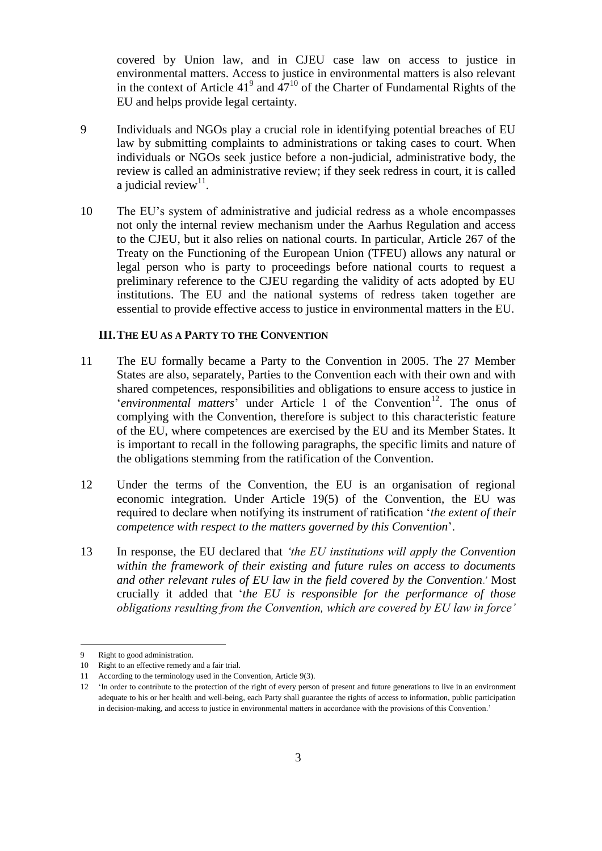covered by Union law, and in CJEU case law on access to justice in environmental matters. Access to justice in environmental matters is also relevant in the context of Article  $41^9$  and  $47^{10}$  of the Charter of Fundamental Rights of the EU and helps provide legal certainty.

- 9 Individuals and NGOs play a crucial role in identifying potential breaches of EU law by submitting complaints to administrations or taking cases to court. When individuals or NGOs seek justice before a non-judicial, administrative body, the review is called an administrative review; if they seek redress in court, it is called a judicial review $11$ .
- 10 The EU's system of administrative and judicial redress as a whole encompasses not only the internal review mechanism under the Aarhus Regulation and access to the CJEU, but it also relies on national courts. In particular, Article 267 of the Treaty on the Functioning of the European Union (TFEU) allows any natural or legal person who is party to proceedings before national courts to request a preliminary reference to the CJEU regarding the validity of acts adopted by EU institutions. The EU and the national systems of redress taken together are essential to provide effective access to justice in environmental matters in the EU.

### **III.THE EU AS A PARTY TO THE CONVENTION**

- 11 The EU formally became a Party to the Convention in 2005. The 27 Member States are also, separately, Parties to the Convention each with their own and with shared competences, responsibilities and obligations to ensure access to justice in 'environmental matters' under Article 1 of the Convention<sup>12</sup>. The onus of complying with the Convention, therefore is subject to this characteristic feature of the EU, where competences are exercised by the EU and its Member States. It is important to recall in the following paragraphs, the specific limits and nature of the obligations stemming from the ratification of the Convention.
- 12 Under the terms of the Convention, the EU is an organisation of regional economic integration. Under Article 19(5) of the Convention, the EU was required to declare when notifying its instrument of ratification '*the extent of their competence with respect to the matters governed by this Convention*'.
- 13 In response, the EU declared that *'the EU institutions will apply the Convention within the framework of their existing and future rules on access to documents and other relevant rules of EU law in the field covered by the Convention*.' Most crucially it added that '*the EU is responsible for the performance of those obligations resulting from the Convention, which are covered by EU law in force'*

Right to good administration.

<sup>10</sup> Right to an effective remedy and a fair trial.

<sup>11</sup> According to the terminology used in the Convention, Article 9(3).

<sup>12</sup> 'In order to contribute to the protection of the right of every person of present and future generations to live in an environment adequate to his or her health and well-being, each Party shall guarantee the rights of access to information, public participation in decision-making, and access to justice in environmental matters in accordance with the provisions of this Convention.'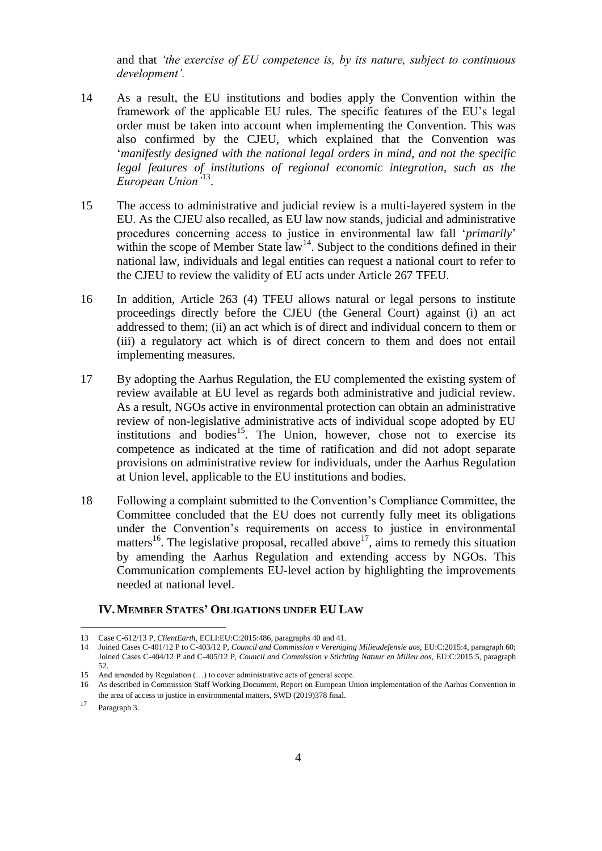and that *'the exercise of EU competence is, by its nature, subject to continuous development'.*

- 14 As a result, the EU institutions and bodies apply the Convention within the framework of the applicable EU rules. The specific features of the EU's legal order must be taken into account when implementing the Convention. This was also confirmed by the CJEU, which explained that the Convention was '*manifestly designed with the national legal orders in mind, and not the specific legal features of institutions of regional economic integration, such as the European Union'*<sup>13</sup> .
- 15 The access to administrative and judicial review is a multi-layered system in the EU. As the CJEU also recalled, as EU law now stands, judicial and administrative procedures concerning access to justice in environmental law fall '*primarily*' within the scope of Member State  $\int_{0}^{14}$ . Subject to the conditions defined in their national law, individuals and legal entities can request a national court to refer to the CJEU to review the validity of EU acts under Article 267 TFEU.
- 16 In addition, Article 263 (4) TFEU allows natural or legal persons to institute proceedings directly before the CJEU (the General Court) against (i) an act addressed to them; (ii) an act which is of direct and individual concern to them or (iii) a regulatory act which is of direct concern to them and does not entail implementing measures.
- 17 By adopting the Aarhus Regulation, the EU complemented the existing system of review available at EU level as regards both administrative and judicial review. As a result, NGOs active in environmental protection can obtain an administrative review of non-legislative administrative acts of individual scope adopted by EU institutions and bodies<sup>15</sup>. The Union, however, chose not to exercise its competence as indicated at the time of ratification and did not adopt separate provisions on administrative review for individuals, under the Aarhus Regulation at Union level, applicable to the EU institutions and bodies.
- 18 Following a complaint submitted to the Convention's Compliance Committee, the Committee concluded that the EU does not currently fully meet its obligations under the Convention's requirements on access to justice in environmental matters<sup>16</sup>. The legislative proposal, recalled above<sup>17</sup>, aims to remedy this situation by amending the Aarhus Regulation and extending access by NGOs. This Communication complements EU-level action by highlighting the improvements needed at national level.

### **IV.MEMBER STATES' OBLIGATIONS UNDER EU LAW**

<u>.</u>

<sup>13</sup> Case C-612/13 P, *ClientEarth*, ECLI:EU:C:2015:486, paragraphs 40 and 41.

<sup>14</sup> Joined Cases C-401/12 P to C-403/12 P, *Council and Commission v Vereniging Milieudefensie aos*, EU:C:2015:4, paragraph 60; Joined Cases C-404/12 P and C-405/12 P, *Council and Commission v Stichting Natuur en Milieu aos*, EU:C:2015:5, paragraph 52.

<sup>15</sup> And amended by Regulation (…) to cover administrative acts of general scope.

<sup>16</sup> As described in Commission Staff Working Document, Report on European Union implementation of the Aarhus Convention in the area of access to justice in environmental matters, SWD (2019)378 final.

<sup>17</sup> Paragraph 3.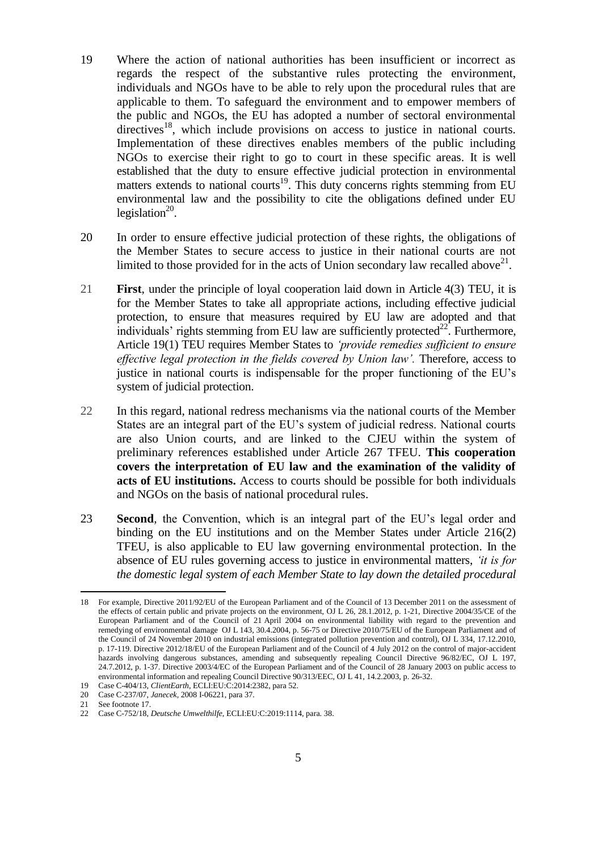- 19 Where the action of national authorities has been insufficient or incorrect as regards the respect of the substantive rules protecting the environment, individuals and NGOs have to be able to rely upon the procedural rules that are applicable to them. To safeguard the environment and to empower members of the public and NGOs, the EU has adopted a number of sectoral environmental  $directives<sup>18</sup>$ , which include provisions on access to justice in national courts. Implementation of these directives enables members of the public including NGOs to exercise their right to go to court in these specific areas. It is well established that the duty to ensure effective judicial protection in environmental matters extends to national courts<sup>19</sup>. This duty concerns rights stemming from EU environmental law and the possibility to cite the obligations defined under EU legislation $20$ .
- 20 In order to ensure effective judicial protection of these rights, the obligations of the Member States to secure access to justice in their national courts are not limited to those provided for in the acts of Union secondary law recalled above<sup>21</sup>.
- 21 **First**, under the principle of loyal cooperation laid down in Article 4(3) TEU, it is for the Member States to take all appropriate actions, including effective judicial protection, to ensure that measures required by EU law are adopted and that individuals' rights stemming from EU law are sufficiently protected $^{22}$ . Furthermore, Article 19(1) TEU requires Member States to *'provide remedies sufficient to ensure effective legal protection in the fields covered by Union law'. Therefore, access to* justice in national courts is indispensable for the proper functioning of the EU's system of judicial protection.
- 22 In this regard, national redress mechanisms via the national courts of the Member States are an integral part of the EU's system of judicial redress. National courts are also Union courts, and are linked to the CJEU within the system of preliminary references established under Article 267 TFEU. **This cooperation covers the interpretation of EU law and the examination of the validity of acts of EU institutions.** Access to courts should be possible for both individuals and NGOs on the basis of national procedural rules.
- 23 **Second**, the Convention, which is an integral part of the EU's legal order and binding on the EU institutions and on the Member States under Article 216(2) TFEU, is also applicable to EU law governing environmental protection. In the absence of EU rules governing access to justice in environmental matters, *'it is for the domestic legal system of each Member State to lay down the detailed procedural*

<sup>18</sup> For example, Directive 2011/92/EU of the European Parliament and of the Council of 13 December 2011 on the assessment of the effects of certain public and private projects on the environment, OJ L 26, 28.1.2012, p. 1-21, Directive 2004/35/CE of the European Parliament and of the Council of 21 April 2004 on environmental liability with regard to the prevention and remedying of environmental damage OJ L 143, 30.4.2004, p. 56-75 or Directive 2010/75/EU of the European Parliament and of the Council of 24 November 2010 on industrial emissions (integrated pollution prevention and control), OJ L 334, 17.12.2010, p. 17-119. Directive 2012/18/EU of the European Parliament and of the Council of 4 July 2012 on the control of major-accident hazards involving dangerous substances, amending and subsequently repealing Council Directive 96/82/EC, OJ L 197, 24.7.2012, p. 1-37. Directive 2003/4/EC of the European Parliament and of the Council of 28 January 2003 on public access to environmental information and repealing Council Directive 90/313/EEC, OJ L 41, 14.2.2003, p. 26-32.

<sup>19</sup> Case C-404/13, *ClientEarth*, ECLI:EU:C:2014:2382, para 52.

<sup>20</sup> Case C-237/07, *Janecek*, 2008 I-06221, para 37.

<sup>21</sup> See footnote 17.

<sup>22</sup> Case C-752/18, *Deutsche Umwelthilfe*, ECLI:EU:C:2019:1114, para. 38.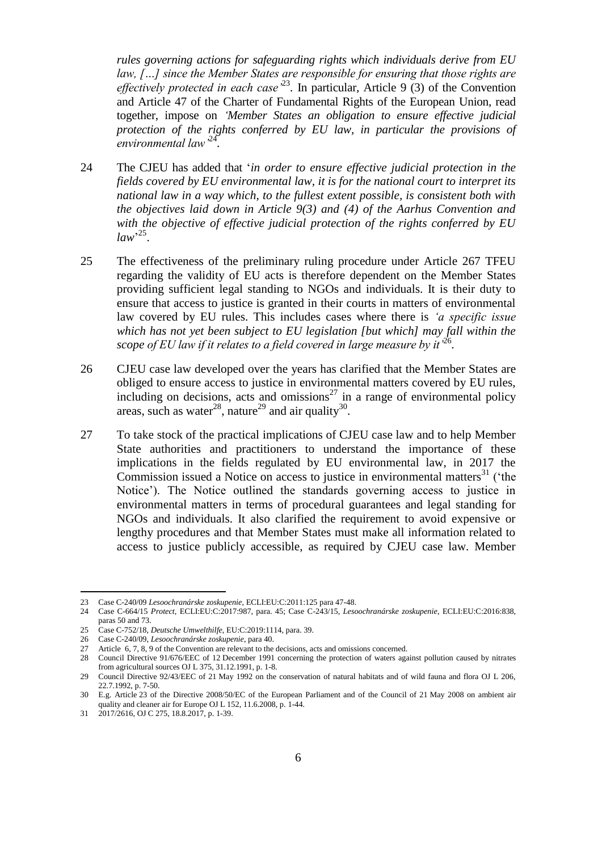*rules governing actions for safeguarding rights which individuals derive from EU law, […] since the Member States are responsible for ensuring that those rights are*  effectively protected in each case<sup>323</sup>. In particular, Article 9 (3) of the Convention and Article 47 of the Charter of Fundamental Rights of the European Union, read together, impose on *'Member States an obligation to ensure effective judicial protection of the rights conferred by EU law, in particular the provisions of environmental law'*<sup>24</sup> *.*

- 24 The CJEU has added that '*in order to ensure effective judicial protection in the fields covered by EU environmental law, it is for the national court to interpret its national law in a way which, to the fullest extent possible, is consistent both with the objectives laid down in Article 9(3) and (4) of the Aarhus Convention and with the objective of effective judicial protection of the rights conferred by EU law*' 25 .
- 25 The effectiveness of the preliminary ruling procedure under Article 267 TFEU regarding the validity of EU acts is therefore dependent on the Member States providing sufficient legal standing to NGOs and individuals. It is their duty to ensure that access to justice is granted in their courts in matters of environmental law covered by EU rules. This includes cases where there is *'a specific issue which has not yet been subject to EU legislation [but which] may fall within the*  scope of EU law if it relates to a field covered in large measure by it <sup>36</sup>.
- 26 CJEU case law developed over the years has clarified that the Member States are obliged to ensure access to justice in environmental matters covered by EU rules, including on decisions, acts and omissions<sup>27</sup> in a range of environmental policy areas, such as water<sup>28</sup>, nature<sup>29</sup> and air quality<sup>30</sup>.
- 27 To take stock of the practical implications of CJEU case law and to help Member State authorities and practitioners to understand the importance of these implications in the fields regulated by EU environmental law, in 2017 the Commission issued a Notice on access to justice in environmental matters $31$  ('the Notice'). The Notice outlined the standards governing access to justice in environmental matters in terms of procedural guarantees and legal standing for NGOs and individuals. It also clarified the requirement to avoid expensive or lengthy procedures and that Member States must make all information related to access to justice publicly accessible, as required by CJEU case law. Member

<sup>23</sup> Case C-240/09 *Lesoochranárske zoskupenie*, ECLI:EU:C:2011:125 para 47-48.

<sup>24</sup> Case C-664/15 *Protect*, ECLI:EU:C:2017:987, para. 45; Case C-243/15, *Lesoochranárske zoskupenie*, ECLI:EU:C:2016:838, paras 50 and 73.

<sup>25</sup> Case C-752/18, *Deutsche Umwelthilfe*, EU:C:2019:1114, para. 39.

<sup>26</sup> Case C-240/09, *Lesoochranárske zoskupenie*, para 40.

<sup>27</sup> Article 6, 7, 8, 9 of the Convention are relevant to the decisions, acts and omissions concerned.

<sup>28</sup> Council Directive 91/676/EEC of 12 December 1991 concerning the protection of waters against pollution caused by nitrates from agricultural sources OJ L 375, 31.12.1991, p. 1-8.

<sup>29</sup> Council Directive 92/43/EEC of 21 May 1992 on the conservation of natural habitats and of wild fauna and flora OJ L 206, 22.7.1992, p. 7-50.

<sup>30</sup> E.g. Article 23 of the Directive 2008/50/EC of the European Parliament and of the Council of 21 May 2008 on ambient air quality and cleaner air for Europe OJ L 152, 11.6.2008, p. 1-44.

<sup>31</sup> 2017/2616, OJ C 275, 18.8.2017, p. 1-39.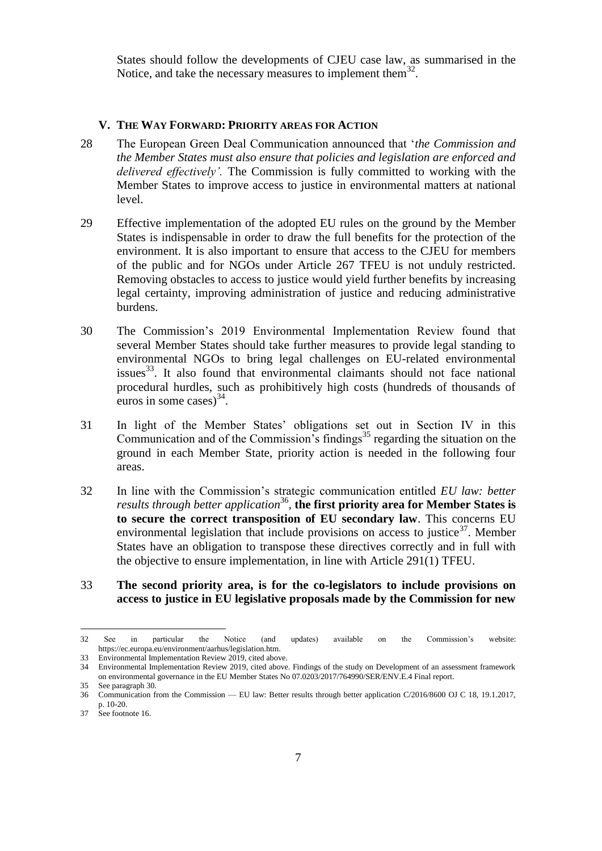States should follow the developments of CJEU case law, as summarised in the Notice, and take the necessary measures to implement them $^{32}$ .

### **V. THE WAY FORWARD: PRIORITY AREAS FOR ACTION**

- 28 The European Green Deal Communication announced that '*the Commission and the Member States must also ensure that policies and legislation are enforced and delivered effectively'.* The Commission is fully committed to working with the Member States to improve access to justice in environmental matters at national level.
- 29 Effective implementation of the adopted EU rules on the ground by the Member States is indispensable in order to draw the full benefits for the protection of the environment. It is also important to ensure that access to the CJEU for members of the public and for NGOs under Article 267 TFEU is not unduly restricted. Removing obstacles to access to justice would yield further benefits by increasing legal certainty, improving administration of justice and reducing administrative burdens.
- 30 The Commission's 2019 Environmental Implementation Review found that several Member States should take further measures to provide legal standing to environmental NGOs to bring legal challenges on EU-related environmental issues<sup>33</sup>. It also found that environmental claimants should not face national procedural hurdles, such as prohibitively high costs (hundreds of thousands of euros in some cases) $^{34}$ .
- 31 In light of the Member States' obligations set out in Section IV in this Communication and of the Commission's findings<sup>35</sup> regarding the situation on the ground in each Member State, priority action is needed in the following four areas.
- 32 In line with the Commission's strategic communication entitled *EU law: better results through better application*<sup>36</sup> *,* **the first priority area for Member States is to secure the correct transposition of EU secondary law**. This concerns EU environmental legislation that include provisions on access to justice<sup>37</sup>. Member States have an obligation to transpose these directives correctly and in full with the objective to ensure implementation, in line with Article 291(1) TFEU.
- 33 **The second priority area, is for the co-legislators to include provisions on access to justice in EU legislative proposals made by the Commission for new**

<sup>32</sup> See in particular the Notice (and updates) available on the Commission's website: https://ec.europa.eu/environment/aarhus/legislation.htm.

<sup>33</sup> Environmental Implementation Review 2019, cited above.

<sup>34</sup> Environmental Implementation Review 2019, cited above. Findings of the study on Development of an assessment framework on environmental governance in the EU Member States No 07.0203/2017/764990/SER/ENV.E.4 Final report.

<sup>35</sup> See paragraph 30.

<sup>36</sup> Communication from the Commission — EU law: Better results through better application C/2016/8600 OJ C 18, 19.1.2017, p. 10-20.

<sup>37</sup> See footnote 16.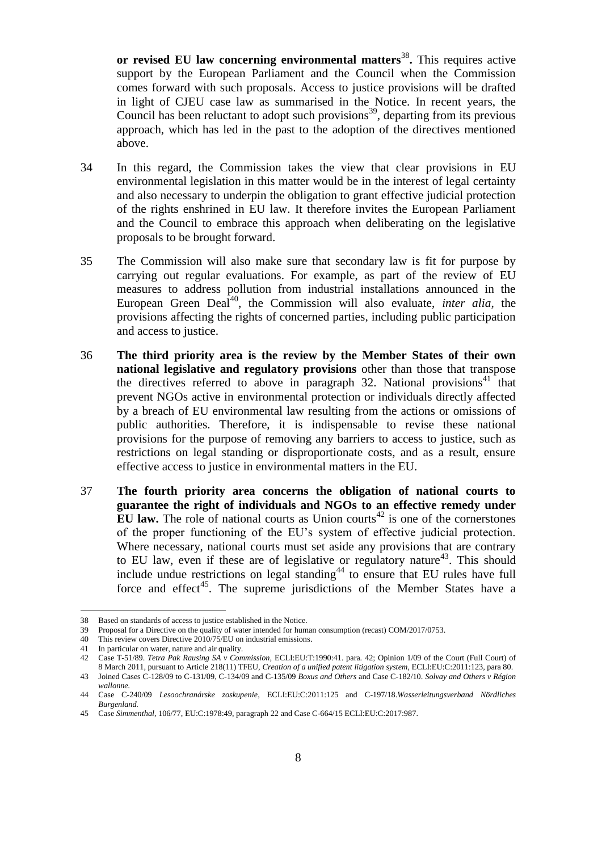or revised EU law concerning environmental matters<sup>38</sup>. This requires active support by the European Parliament and the Council when the Commission comes forward with such proposals. Access to justice provisions will be drafted in light of CJEU case law as summarised in the Notice. In recent years, the Council has been reluctant to adopt such provisions<sup>39</sup>, departing from its previous approach, which has led in the past to the adoption of the directives mentioned above.

- 34 In this regard, the Commission takes the view that clear provisions in EU environmental legislation in this matter would be in the interest of legal certainty and also necessary to underpin the obligation to grant effective judicial protection of the rights enshrined in EU law. It therefore invites the European Parliament and the Council to embrace this approach when deliberating on the legislative proposals to be brought forward.
- 35 The Commission will also make sure that secondary law is fit for purpose by carrying out regular evaluations. For example, as part of the review of EU measures to address pollution from industrial installations announced in the European Green Deal<sup>40</sup>, the Commission will also evaluate, *inter alia*, the provisions affecting the rights of concerned parties, including public participation and access to justice.
- 36 **The third priority area is the review by the Member States of their own national legislative and regulatory provisions** other than those that transpose the directives referred to above in paragraph 32. National provisions<sup>41</sup> that prevent NGOs active in environmental protection or individuals directly affected by a breach of EU environmental law resulting from the actions or omissions of public authorities. Therefore, it is indispensable to revise these national provisions for the purpose of removing any barriers to access to justice, such as restrictions on legal standing or disproportionate costs, and as a result, ensure effective access to justice in environmental matters in the EU.
- 37 **The fourth priority area concerns the obligation of national courts to guarantee the right of individuals and NGOs to an effective remedy under EU law.** The role of national courts as Union courts<sup>42</sup> is one of the cornerstones of the proper functioning of the EU's system of effective judicial protection. Where necessary, national courts must set aside any provisions that are contrary to EU law, even if these are of legislative or regulatory nature<sup>43</sup>. This should include undue restrictions on legal standing<sup>44</sup> to ensure that EU rules have full force and effect<sup>45</sup>. The supreme jurisdictions of the Member States have a

<sup>38</sup> Based on standards of access to justice established in the Notice.

<sup>39</sup> Proposal for a Directive on the quality of water intended for human consumption (recast) COM/2017/0753.

<sup>40</sup> This review covers Directive 2010/75/EU on industrial emissions.

<sup>41</sup> In particular on water, nature and air quality.

<sup>42</sup> Case T-51/89. *Tetra Pak Rausing SA v Commission,* ECLI:EU:T:1990:41. para. 42; Opinion 1/09 of the Court (Full Court) of 8 March 2011, pursuant to Article 218(11) TFEU, *Creation of a unified patent litigation system*, ECLI:EU:C:2011:123, para 80.

<sup>43</sup> Joined Cases C-128/09 to C-131/09, C-134/09 and C-135/09 *Boxus and Others* and Case C-182/10. *Solvay and Others v Région wallonne.*

<sup>44</sup> Case C-240/09 *Lesoochranárske zoskupenie*, ECLI:EU:C:2011:125 and C-197/18.*Wasserleitungsverband Nördliches Burgenland.*

<sup>45</sup> Case *Simmenthal*, 106/77, EU:C:1978:49, paragraph 22 and Case C-664/15 ECLI:EU:C:2017:987.